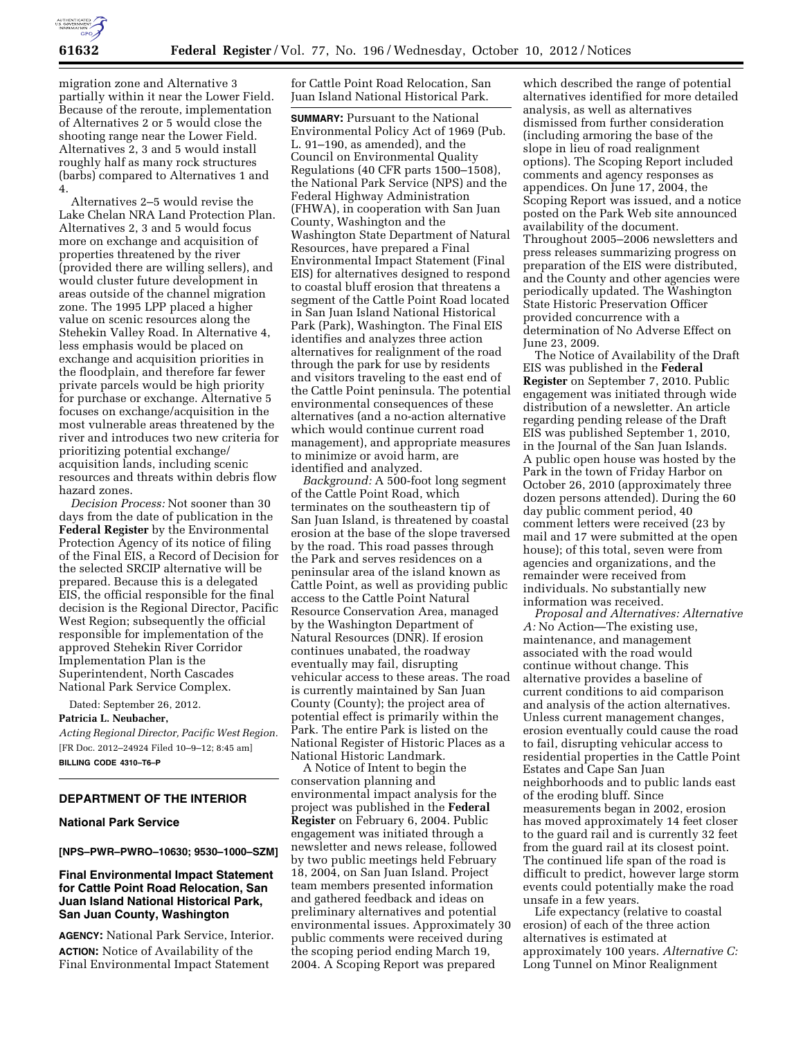

migration zone and Alternative 3 partially within it near the Lower Field. Because of the reroute, implementation of Alternatives 2 or 5 would close the shooting range near the Lower Field. Alternatives 2, 3 and 5 would install roughly half as many rock structures (barbs) compared to Alternatives 1 and 4.

Alternatives 2–5 would revise the Lake Chelan NRA Land Protection Plan. Alternatives 2, 3 and 5 would focus more on exchange and acquisition of properties threatened by the river (provided there are willing sellers), and would cluster future development in areas outside of the channel migration zone. The 1995 LPP placed a higher value on scenic resources along the Stehekin Valley Road. In Alternative 4, less emphasis would be placed on exchange and acquisition priorities in the floodplain, and therefore far fewer private parcels would be high priority for purchase or exchange. Alternative 5 focuses on exchange/acquisition in the most vulnerable areas threatened by the river and introduces two new criteria for prioritizing potential exchange/ acquisition lands, including scenic resources and threats within debris flow hazard zones.

*Decision Process:* Not sooner than 30 days from the date of publication in the **Federal Register** by the Environmental Protection Agency of its notice of filing of the Final EIS, a Record of Decision for the selected SRCIP alternative will be prepared. Because this is a delegated EIS, the official responsible for the final decision is the Regional Director, Pacific West Region; subsequently the official responsible for implementation of the approved Stehekin River Corridor Implementation Plan is the Superintendent, North Cascades National Park Service Complex.

Dated: September 26, 2012.

## **Patricia L. Neubacher,**

*Acting Regional Director, Pacific West Region.*  [FR Doc. 2012–24924 Filed 10–9–12; 8:45 am] **BILLING CODE 4310–T6–P** 

### **DEPARTMENT OF THE INTERIOR**

#### **National Park Service**

**[NPS–PWR–PWRO–10630; 9530–1000–SZM]** 

# **Final Environmental Impact Statement for Cattle Point Road Relocation, San Juan Island National Historical Park, San Juan County, Washington**

**AGENCY:** National Park Service, Interior. **ACTION:** Notice of Availability of the Final Environmental Impact Statement

for Cattle Point Road Relocation, San Juan Island National Historical Park.

**SUMMARY:** Pursuant to the National Environmental Policy Act of 1969 (Pub. L. 91–190, as amended), and the Council on Environmental Quality Regulations (40 CFR parts 1500–1508), the National Park Service (NPS) and the Federal Highway Administration (FHWA), in cooperation with San Juan County, Washington and the Washington State Department of Natural Resources, have prepared a Final Environmental Impact Statement (Final EIS) for alternatives designed to respond to coastal bluff erosion that threatens a segment of the Cattle Point Road located in San Juan Island National Historical Park (Park), Washington. The Final EIS identifies and analyzes three action alternatives for realignment of the road through the park for use by residents and visitors traveling to the east end of the Cattle Point peninsula. The potential environmental consequences of these alternatives (and a no-action alternative which would continue current road management), and appropriate measures to minimize or avoid harm, are identified and analyzed.

*Background:* A 500-foot long segment of the Cattle Point Road, which terminates on the southeastern tip of San Juan Island, is threatened by coastal erosion at the base of the slope traversed by the road. This road passes through the Park and serves residences on a peninsular area of the island known as Cattle Point, as well as providing public access to the Cattle Point Natural Resource Conservation Area, managed by the Washington Department of Natural Resources (DNR). If erosion continues unabated, the roadway eventually may fail, disrupting vehicular access to these areas. The road is currently maintained by San Juan County (County); the project area of potential effect is primarily within the Park. The entire Park is listed on the National Register of Historic Places as a National Historic Landmark.

A Notice of Intent to begin the conservation planning and environmental impact analysis for the project was published in the **Federal Register** on February 6, 2004. Public engagement was initiated through a newsletter and news release, followed by two public meetings held February 18, 2004, on San Juan Island. Project team members presented information and gathered feedback and ideas on preliminary alternatives and potential environmental issues. Approximately 30 public comments were received during the scoping period ending March 19, 2004. A Scoping Report was prepared

which described the range of potential alternatives identified for more detailed analysis, as well as alternatives dismissed from further consideration (including armoring the base of the slope in lieu of road realignment options). The Scoping Report included comments and agency responses as appendices. On June 17, 2004, the Scoping Report was issued, and a notice posted on the Park Web site announced availability of the document. Throughout 2005–2006 newsletters and press releases summarizing progress on preparation of the EIS were distributed, and the County and other agencies were periodically updated. The Washington State Historic Preservation Officer provided concurrence with a determination of No Adverse Effect on June 23, 2009.

The Notice of Availability of the Draft EIS was published in the **Federal Register** on September 7, 2010. Public engagement was initiated through wide distribution of a newsletter. An article regarding pending release of the Draft EIS was published September 1, 2010, in the Journal of the San Juan Islands. A public open house was hosted by the Park in the town of Friday Harbor on October 26, 2010 (approximately three dozen persons attended). During the 60 day public comment period, 40 comment letters were received (23 by mail and 17 were submitted at the open house); of this total, seven were from agencies and organizations, and the remainder were received from individuals. No substantially new information was received.

*Proposal and Alternatives: Alternative A:* No Action—The existing use, maintenance, and management associated with the road would continue without change. This alternative provides a baseline of current conditions to aid comparison and analysis of the action alternatives. Unless current management changes, erosion eventually could cause the road to fail, disrupting vehicular access to residential properties in the Cattle Point Estates and Cape San Juan neighborhoods and to public lands east of the eroding bluff. Since measurements began in 2002, erosion has moved approximately 14 feet closer to the guard rail and is currently 32 feet from the guard rail at its closest point. The continued life span of the road is difficult to predict, however large storm events could potentially make the road unsafe in a few years.

Life expectancy (relative to coastal erosion) of each of the three action alternatives is estimated at approximately 100 years. *Alternative C:*  Long Tunnel on Minor Realignment